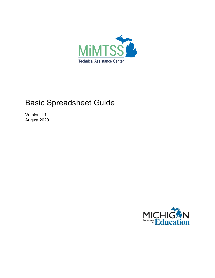

# Basic Spreadsheet Guide

Version 1.1 August 2020

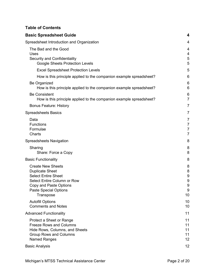## **Table of Contents**

| <b>Basic Spreadsheet Guide</b>                                                                                                                                                  | 4                                                       |
|---------------------------------------------------------------------------------------------------------------------------------------------------------------------------------|---------------------------------------------------------|
| Spreadsheet Introduction and Organization                                                                                                                                       | 4                                                       |
| The Bad and the Good<br>Uses<br>Security and Confidentiality<br><b>Google Sheets Protection Levels</b>                                                                          | 4<br>4<br>5<br>5                                        |
| <b>Excel Spreadsheet Protection Levels</b>                                                                                                                                      | 5                                                       |
| How is this principle applied to the companion example spreadsheet?                                                                                                             | 6                                                       |
| Be Organized<br>How is this principle applied to the companion example spreadsheet?                                                                                             | 6<br>6                                                  |
| <b>Be Consistent</b><br>How is this principle applied to the companion example spreadsheet?                                                                                     | 6<br>$\overline{7}$                                     |
| <b>Bonus Feature: History</b>                                                                                                                                                   | $\overline{7}$                                          |
| <b>Spreadsheets Basics</b>                                                                                                                                                      | $\overline{7}$                                          |
| Data<br>Functions<br>Formulae<br>Charts                                                                                                                                         | $\overline{7}$<br>$\overline{7}$<br>7<br>$\overline{7}$ |
| Spreadsheets Navigation                                                                                                                                                         | 8                                                       |
| Sharing<br>Share: Force a Copy                                                                                                                                                  | 8<br>8                                                  |
| <b>Basic Functionality</b>                                                                                                                                                      | 8                                                       |
| <b>Create New Sheets</b><br><b>Duplicate Sheet</b><br><b>Select Entire Sheet</b><br>Select Entire Column or Row<br>Copy and Paste Options<br>Paste Special Options<br>Transpose | 8<br>8<br>9<br>9<br>9<br>9<br>10                        |
| <b>Autofill Options</b><br><b>Comments and Notes</b>                                                                                                                            | 10<br>10                                                |
| <b>Advanced Functionality</b>                                                                                                                                                   | 11                                                      |
| Protect a Sheet or Range<br><b>Freeze Rows and Columns</b><br>Hide Rows, Columns, and Sheets<br>Group Rows and Columns<br>Named Ranges                                          | 11<br>11<br>11<br>11<br>12                              |
| <b>Basic Analysis</b>                                                                                                                                                           | 12                                                      |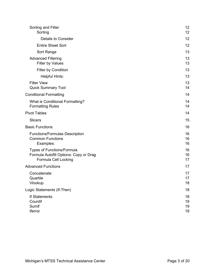| Sorting and Filter<br>Sorting                                                                | 12<br>12             |
|----------------------------------------------------------------------------------------------|----------------------|
| Details to Consider                                                                          | 12                   |
| <b>Entire Sheet Sort</b>                                                                     | 12                   |
| Sort Range                                                                                   | 13                   |
| <b>Advanced Filtering</b><br><b>Filter by Values</b>                                         | 13<br>13             |
| Filter by Condition                                                                          | 13                   |
| <b>Helpful Hints:</b>                                                                        | 13                   |
| <b>Filter View</b><br><b>Quick Summary Tool</b>                                              | 13<br>14             |
| <b>Conditional Formatting</b>                                                                | 14                   |
| What is Conditional Formatting?<br><b>Formatting Rules</b>                                   | 14<br>14             |
| <b>Pivot Tables</b>                                                                          | 14                   |
| <b>Slicers</b>                                                                               | 15                   |
| <b>Basic Functions</b>                                                                       | 16                   |
| <b>Functions/Formulas Description</b><br><b>Common Functions</b><br>Examples:                | 16<br>16<br>16       |
| Types of Functions/Formula<br>Formula Autofill Options: Copy or Drag<br>Formula Cell Locking | 16<br>16<br>17       |
| <b>Advanced Functions</b>                                                                    | 17                   |
| Concatenate<br>Quartile<br>Vlookup                                                           | 17<br>17<br>18       |
| Logic Statements (If-Then)                                                                   | 18                   |
| If Statements<br>Countif<br>Sumif<br>Iferror                                                 | 18<br>19<br>19<br>19 |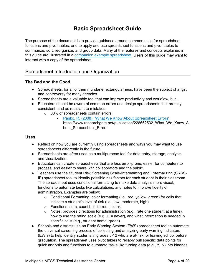## **Basic Spreadsheet Guide**

<span id="page-3-0"></span>The purpose of the document is to provide guidance around common uses for spreadsheet functions and pivot tables; and to apply and use spreadsheet functions and pivot tables to summarize, sort, reorganize, and group data. Many of the features and concepts explained in this guide are illustrated in a [companion example spreadsheet.](https://docs.google.com/spreadsheets/d/15pYZDPMZBQ5S2uFtl0AjmJ3c4LLxt04ZA8R4eI9PlCo/copy) Users of this guide may want to interact with a copy of the spreadsheet.

## <span id="page-3-1"></span>Spreadsheet Introduction and Organization

## <span id="page-3-2"></span>**The Bad and the Good**

- Spreadsheets, for all of their mundane rectangularness, have been the subject of angst and controversy for many decades.
- Spreadsheets are a valuable tool that can improve productivity and workflow, but...
- Educators should be aware of common errors and design spreadsheets that are tidy, consistent, and as resistant to mistakes.
	- o 88% of spreadsheets contain errors!
		- Panko, R. [\(2008\), "What We Know About Spreadsheet Errors"](https://www.researchgate.net/publication/228662532_What_We_Know_About_Spreadsheet_Errors): https://www.researchgate.net/publication/228662532\_What\_We\_Know\_A bout Spreadsheet Errors.

## <span id="page-3-3"></span>**Uses**

- Reflect on how you are currently using spreadsheets and ways you may want to use spreadsheets differently in the future.
- Spreadsheets are often used as a multipurpose tool for data entry, storage, analysis, and visualization.
- Educators can create spreadsheets that are less error-prone, easier for computers to process, and easier to share with collaborators and the public.
- Teachers use the Student Risk Screening Scale-Internalizing and Externalizing (SRSS-IE) spreadsheet tool to identify possible risk factors for each student in their classroom. The spreadsheet uses conditional formatting to make data analysis more visual, functions to automate tasks like calculations, and notes to improve fidelity of administration. Examples are below:
	- $\circ$  Conditional Formatting: color formatting (i.e., red, yellow, green) for cells that indicate a student's level of risk (i.e., low, moderate, high).
	- o Functions: sum, countif, if, iferror, isblank
	- $\circ$  Notes: provides directions for administration (e.g., rate one student at a time), how to use the rating scale (e.g.,  $0 =$  never), and what information is needed in specific cells (e.g., student name, grade).
- Schools and districts use an Early Warning System (EWS) spreadsheet tool to automate the universal screening process of collecting and analyzing early warning indicators (EWIs) to help identify students in grades 5-12 who are at-risk for leaving school before graduation. The spreadsheet uses pivot tables to reliably pull specific data points for quick analysis and functions to automate tasks like turning data (e.g., Y, N) into binaries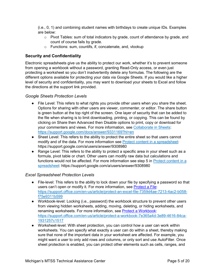(i.e., 0, 1) and combining student names with birthdays to create unique IDs. Examples are below:

- $\circ$  Pivot Tables: sum of total indicators by grade, count of attendance by grade, and count of course fails by grade.
- o Functions: sum, countifs, if, concatenate, and, vlookup

## <span id="page-4-0"></span>**Security and Confidentiality**

Electronic spreadsheets give us the ability to protect our work, whether it's to prevent someone from opening a workbook without a password, granting Read-Only access, or even just protecting a worksheet so you don't inadvertently delete any formulas. The following are the different options available for protecting your data via Google Sheets. If you would like a higher level of security and confidentiality, you may want to download your sheets to Excel and follow the directions at the support link provided.

## <span id="page-4-1"></span>*Google Sheets Protection Levels*

- File Level: This refers to what rights you provide other users when you share the sheet. Options for sharing with other users are viewer, commenter, or editor. The share button is green button at the top right of the screen. One layer of security that can be added to the file when sharing is to limit downloading, printing, or copying. This can be found by clicking on Share then Advanced then Disable options to print, copy or download for your commenters and views. For more information, see [Collaborate in Sheets:](https://support.google.com/docs/answer/9331169?hl=en) <https://support.google.com/docs/answer/9331169?hl=en>
- Sheet Level: This refers to the ability to protect the entire sheet so that users cannot modify and of the data. For more information see **Protect content in a spreadsheet**: https://support.google.com/a/users/answer/9308980
- Range Level: This refers to the ability to protect a specific area in your sheet such as a formula, pivot table or chart. Other users can modify raw data but calculations and functions would not be affected. For more information see step 5 in [Protect content in a](https://support.google.com/a/users/answer/9308980)  [spreadsheet:](https://support.google.com/a/users/answer/9308980) https://support.google.com/a/users/answer/9308980

## <span id="page-4-2"></span>*Excel Spreadsheet Protection Levels*

- File-level: This refers to the ability to lock down your file by specifying a password so that users can't open or modify it. For more information, see [Protect a File:](https://support.office.com/en-us/article/protect-an-excel-file-7359d4ae-7213-4ac2-b058-f75e9311b599) https://support.office.com/en-us/article/protect-an-excel-file-7359d4ae-7213-4ac2-b058 f75e9311b599
- Workbook-level: Locking (i.e., password) the workbook structure to prevent other users from viewing hidden worksheets, adding, moving, deleting, or hiding worksheets, and renaming worksheets. For more information, see [Protect a Workbook:](https://support.office.com/en-us/article/protect-a-workbook-7e365a4d-3e89-4616-84ca-1931257c1517) [https://support.office.com/en-us/article/protect-a-workbook-7e365a4d-3e89-4616-84ca-](https://support.office.com/en-us/article/protect-a-workbook-7e365a4d-3e89-4616-84ca-1931257c1517)[1931257c1517](https://support.office.com/en-us/article/protect-a-workbook-7e365a4d-3e89-4616-84ca-1931257c1517)
- Worksheet-level: With sheet protection, you can control how a user can work within worksheets. You can specify what exactly a user can do within a sheet, thereby making sure that none of the important data in your worksheet are affected. For example, you might want a user to only add rows and columns, or only sort and use AutoFilter. Once sheet protection is enabled, you can protect other elements such as cells, ranges, and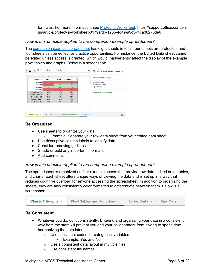formulas. For more information, see [Protect a Worksheet:](https://support.office.com/en-us/article/protect-a-worksheet-3179efdb-1285-4d49-a9c3-f4ca36276de6) https://support.office.com/enus/article/protect-a-worksheet-3179efdb-1285-4d49-a9c3-f4ca36276de6

## <span id="page-5-0"></span>*How is this principle applied to the companion example spreadsheet?*

The [companion example spreadsheet](https://docs.google.com/spreadsheets/d/15pYZDPMZBQ5S2uFtl0AjmJ3c4LLxt04ZA8R4eI9PlCo/copy) has eight sheets in total, four sheets are protected, and four sheets can be edited for practice opportunities. For instance, the Edited Data sheet cannot be edited unless access is granted, which would inadvertently affect the display of the example pivot tables and graphs. Below is a screenshot:

| 음<br>÷.<br>A                                                                                                                                                           | 田田 - 르-노-버-허-                                           |                                                         |                                                         | $\wedge$     | 殿<br>Protected sheets & ranges<br>$\times$                                                     |
|------------------------------------------------------------------------------------------------------------------------------------------------------------------------|---------------------------------------------------------|---------------------------------------------------------|---------------------------------------------------------|--------------|------------------------------------------------------------------------------------------------|
| C<br>School $\equiv$                                                                                                                                                   | D<br>Fall<br>Ψ                                          | E<br>Winter                                             | F<br>$\blacksquare$<br>٠<br>$\equiv$ Spring<br>π        | H            | + Add a sheet or range                                                                         |
| <b>School A</b><br><b>School B</b><br><b>School C</b><br><b>School D</b><br>Growth Average<br>Growth School A<br>Growth School B<br>Growth School C<br>Growth School D | 52<br>61<br>72<br>22<br>28%<br>34%<br>28%<br>33%<br>19% | 50<br>72<br>74<br>40<br>34%<br>32%<br>33%<br>34%<br>35% | 52<br>85<br>74<br>51<br>38%<br>34%<br>39%<br>34%<br>45% |              | <b>Protected Sheet</b><br>'Edited Data_'!A17<br><b>d</b> Can edit<br>Show all protected ranges |
|                                                                                                                                                                        |                                                         |                                                         |                                                         | $\leftarrow$ |                                                                                                |
| Edited Data <b>v</b>                                                                                                                                                   | Raw Data -                                              |                                                         | Charts Practice Sheet *                                 | Pivot Ti     | Ð<br>$\mathbf{r}$                                                                              |

## <span id="page-5-1"></span>**Be Organized**

- Use sheets to organize your data
	- o Example: Separate your raw data sheet from your edited data sheet.
- Use descriptive column labels to identify data
- Consider removing gridlines
- Shade or bold any important information
- Add comments

#### <span id="page-5-2"></span>*How is this principle applied to the companion example spreadsheet?*

The spreadsheet is organized as four example sheets that provide raw data, edited data, tables, and charts. Each sheet offers unique ways of viewing the data and is set up in a way that reduces cognitive overload for anyone accessing the spreadsheet. In addition to organizing the sheets, they are also consistently color formatted to differentiate between them. Below is a screenshot:

| Charts & Graphs $\sim$ | Pivot Tables and Functions $\blacktriangledown$ | <b>Edited Data</b> | Raw Data $\sim$ |
|------------------------|-------------------------------------------------|--------------------|-----------------|
|------------------------|-------------------------------------------------|--------------------|-----------------|

#### <span id="page-5-3"></span>**Be Consistent**

- Whatever you do, do it consistently. Entering and organizing your data in a consistent way from the start will prevent you and your collaborators from having to spend time harmonizing the data later.
	- o Use consistent codes for categorical variables
		- Example: Yes and No
	- o Use a consistent data layout in multiple files.
	- o Use consistent file names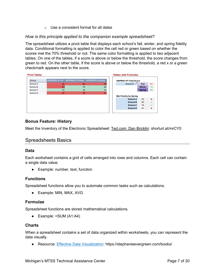$\circ$  Use a consistent format for all dates

## <span id="page-6-0"></span>*How is this principle applied to the companion example spreadsheet?*

The spreadsheet utilizes a pivot table that displays each school's fall, winter, and spring fidelity data. Conditional formatting is applied to color the cell red or green based on whether the scores met the 70% threshold or not. The same color formatting is applied to two adjacent tables. On one of the tables, if a score is above or below the threshold, the score changes from green to red. On the other table, if the score is above or below the threshold, a red x or a green checkmark appears next to the score.

| <b>Pivot Tables</b> |    |                                                     |    | <b>Tables with Formulas</b>               |
|---------------------|----|-----------------------------------------------------|----|-------------------------------------------|
| School              |    | AVERAGE of Fall AVERAGE of Winter AVERAGE of Spring |    | <b>SWPBIS-TFI Total Score</b>             |
| School A            | 52 | 50                                                  | 52 | School B $\overline{\phantom{a}}$<br>Fall |
| School B            | 61 | 72                                                  | 85 | <b>Winter</b>                             |
| School C            | 72 | 74                                                  | 74 | <b>Spring</b>                             |
| School D            | 22 | 40                                                  | 51 |                                           |
|                     |    |                                                     |    | <b>Met Fidelity by Spring</b>             |
|                     |    |                                                     |    | 52<br><b>School A</b>                     |
|                     |    |                                                     |    | 85<br><b>School B</b>                     |
|                     |    |                                                     |    | 74<br><b>School C</b>                     |
|                     |    |                                                     |    | 51<br><b>School D</b>                     |
|                     |    |                                                     |    |                                           |

## <span id="page-6-1"></span>**Bonus Feature: History**

Meet the Inventory of the Electronic Spreadsheet: [Ted.com: Dan Bricklin:](https://www.ted.com/talks/dan_bricklin_meet_the_inventor_of_the_electronic_spreadsheet/discussion?utm_medium=on.ted.com-android-share&awesm=on.ted.com_r2pi&utm_campaign=&utm_source=direct-on.ted.com&utm_content=ted-androidapp) shorturl.at/mrCY0

## <span id="page-6-2"></span>Spreadsheets Basics

## <span id="page-6-3"></span>**Data**

Each worksheet contains a grid of cells arranged into rows and columns. Each cell can contain a single data value.

• Example: number, text, function

#### <span id="page-6-4"></span>**Functions**

Spreadsheet functions allow you to automate common tasks such as calculations.

• Example: MIN, MAX, AVG

#### <span id="page-6-5"></span>**Formulae**

Spreadsheet functions are stored mathematical calculations.

● Example: =SUM (A1:A4)

#### <span id="page-6-6"></span>**Charts**

When a spreadsheet contains a set of data organized within worksheets, you can represent the data visually.

● Resource: [Effective Data Visualization:](https://stephanieevergreen.com/books/) https://stephanieevergreen.com/books/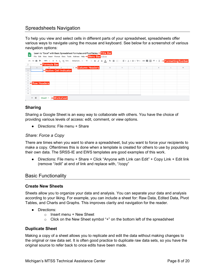## <span id="page-7-0"></span>Spreadsheets Navigation

To help you view and select cells in different parts of your spreadsheet, spreadsheets offer various ways to navigate using the mouse and keyboard. See below for a screenshot of various navigation options:

| 囲                         |                                                   | Learn to "Excel" with Basic Spreadsheet Formulas and PivotTables <><br>File Edit View Insert Format Data Tools Add-ons Help + Menu Bar in Drive                         |              |   |        |        |           |
|---------------------------|---------------------------------------------------|-------------------------------------------------------------------------------------------------------------------------------------------------------------------------|--------------|---|--------|--------|-----------|
|                           |                                                   | い α ● ₱│100% ▼│ \$ % 0_00123▼│ Default (Ari ▼│ 10   ▼│ B <i>I</i> <del>\$</del> A │ → 田 ⊞ ▽│ ≡ ▼ 上 <del>▽</del> ├→ ♡ ▼│ ∞ ■ 国 ▽ ▽ ∑ → ← <mark>Formatting Toolbar</mark> |              |   |        |        |           |
| fx                        | <b>+Formula Bar</b>                               |                                                                                                                                                                         |              |   |        |        |           |
| A                         | $\mathbb C$<br>B.                                 | <b>D +Column Headers</b>                                                                                                                                                | $\mathbb{G}$ | н | $\cup$ | $\,$ K | ${\sf M}$ |
|                           | <b>Active Cell Indicator</b>                      |                                                                                                                                                                         |              |   |        |        |           |
| $\sqrt{2}$                |                                                   |                                                                                                                                                                         |              |   |        |        |           |
| $_{3}$                    |                                                   |                                                                                                                                                                         |              |   |        |        |           |
| $\overline{4}$            |                                                   |                                                                                                                                                                         |              |   |        |        |           |
| $\overline{5}$            |                                                   |                                                                                                                                                                         |              |   |        |        |           |
| <b>6 &lt; Row Headers</b> |                                                   |                                                                                                                                                                         |              |   |        |        |           |
| $7^{\circ}$               |                                                   |                                                                                                                                                                         |              |   |        |        |           |
| $\,$ 8 $\,$<br>$_{9}$     |                                                   |                                                                                                                                                                         |              |   |        |        |           |
| 10                        |                                                   |                                                                                                                                                                         |              |   |        |        |           |
|                           |                                                   |                                                                                                                                                                         |              |   |        |        |           |
| $+ \equiv$                | <b>+Worksheet</b><br>Sheet1 $\blacktriangleright$ |                                                                                                                                                                         |              |   |        |        |           |

## <span id="page-7-1"></span>**Sharing**

Sharing a Google Sheet is an easy way to collaborate with others. You have the choice of providing various levels of access: edit, comment, or view options.

● Directions: File menu + Share

## <span id="page-7-2"></span>*Share: Force a Copy*

There are times when you want to share a spreadsheet, but you want to force your recipients to make a copy. Oftentimes this is done when a template is created for others to use by populating their own data. The SRSS-IE and EWS templates are good examples of this work.

• Directions: File menu + Share + Click "Anyone with Link can Edit" + Copy Link + Edit link (remove "/edit" at end of link and replace with, "/copy"

## <span id="page-7-3"></span>Basic Functionality

#### <span id="page-7-4"></span>**Create New Sheets**

Sheets allow you to organize your data and analysis. You can separate your data and analysis according to your liking. For example, you can include a sheet for: Raw Data, Edited Data, Pivot Tables, and Charts and Graphs. This improves clarity and navigation for the reader.

- Directions:
	- $\circ$  Insert menu + New Sheet
	- o Click on the New Sheet symbol "+" on the bottom left of the spreadsheet

#### <span id="page-7-5"></span>**Duplicate Sheet**

Making a copy of a sheet allows you to replicate and edit the data without making changes to the original or raw data set. It is often good practice to duplicate raw data sets, so you have the original source to refer back to once edits have been made.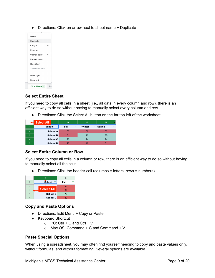• Directions: Click on arrow next to sheet name + Duplicate



## <span id="page-8-0"></span>**Select Entire Sheet**

If you need to copy all cells in a sheet (i.e., all data in every column and row), there is an efficient way to do so without having to manually select every column and row.

● Directions: Click the Select All button on the far top left of the worksheet

|                | <b>E</b> Select All | B    |   | C             | D               |   |
|----------------|---------------------|------|---|---------------|-----------------|---|
| Ф              | School $=$          | Fall | 市 | <b>Winter</b> | $\equiv$ Spring | ÷ |
| $\overline{2}$ | School A            | 52   |   | 50            | 52              |   |
| 3              | <b>School B</b>     | 61   |   | 72            | 85              |   |
| 4              | <b>School C</b>     | 72   |   | 74            | 74              |   |
| 5              | <b>School D</b>     | 22   |   |               | 51              |   |

## <span id="page-8-1"></span>**Select Entire Column or Row**

If you need to copy all cells in a column or row, there is an efficient way to do so without having to manually select all the cells.

● Directions: Click the header cell (columns = letters, rows = numbers)



## <span id="page-8-2"></span>**Copy and Paste Options**

- Directions: Edit Menu + Copy or Paste
- Keyboard Shortcut
	- $\circ$  PC: Ctrl + C and Ctrl + V
	- $\circ$  Mac OS: Command + C and Command + V

#### <span id="page-8-3"></span>**Paste Special Options**

When using a spreadsheet, you may often find yourself needing to copy and paste values only, without formulas, and without formatting. Several options are available.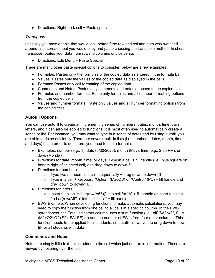● Directions: Right-click cell + Paste special

## <span id="page-9-0"></span>*Transpose*

Let's say you have a table that would look better if the row and column data was switched around, in a spreadsheet you would copy and paste choosing the transpose method. In short, transpose rotates your data from rows to columns or vice versa.

● Directions: Edit Menu + Paste Special

There are many other paste special options to consider, below are a few examples:

- Formulas: Pastes only the formulas of the copied data as entered in the formula bar.
- Values: Pastes only the values of the copied data as displayed in the cells.
- Formats: Pastes only cell formatting of the copied data.
- Comments and Notes: Pastes only comments and notes attached to the copied cell.
- Formulas and number formats: Paste only formulas and all number formatting options from the copied cells.
- Values and number formats: Paste only values and all number formatting options from the copied cells.

## <span id="page-9-1"></span>**Autofill Options**

You can use autofill to create an incrementing series of numbers, dates, month, time, days, letters, and it can also be applied to functions. It is most often used to automatically create a series or list. For instance, you may want to type in a series of dates and by using autofill you are able to do so efficiently. There are several built-in lists (i.e., numbers, dates, month, time, and days) but in order to do letters, you need to use a formula.

- Examples: number (e.g., 1), date ( $5/30/2020$ ), month (May), time (e.g., 2:30 PM), or days (Monday)
- Directions for date, month, time, or days: Type in a cell + fill handle (i.e., blue square on bottom right of selected cell) and drag down to down-fill.
- Directions for numbers:
	- $\circ$  Type two numbers in a cell, sequentially + drag down to down-fill
	- o Type in a cell + keyboard "Option" (MacOS) or "Control" (PC) + fill handle and drag down to down-fill.
- Directions for letters:
	- $\circ$  Insert function "=char(row(A65))" into cell for "A" + fill handle or insert function "=char(row(A97))" into cell for "a" + fill handle
- EWS Example: When developing functions to make automatic calculations, you may need to copy the function from one cell to all cells in a specific column. In the EWS spreadsheet, the Total Indicators column uses a sum function (i.e., =IF(\$A2<>"", SUM (M2+O2+Q2+S2), FALSE)) to add the number of EWIs from four other columns. This function needs to be applied to all students, so autofill allows you to drag down to downfill for all students with data.

## <span id="page-9-2"></span>**Comments and Notes**

Notes are simply little text boxes added to the cell which just add extra information. These are viewed by hovering over the cell.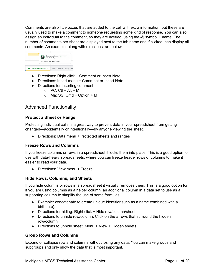Comments are also little boxes that are added to the cell with extra information, but these are usually used to make a comment to someone requesting some kind of response. You can also assign an individual to the comment, so they are notified, using the  $@$  symbol + name. The number of comments per sheet are displayed next to the tab name and if clicked, can display all comments. An example, along with directions, are below:



- Directions: Right click + Comment or Insert Note
- Directions: Insert menu + Comment or Insert Note
- Directions for inserting comment:
	- $\circ$  PC: Ctl + Alt + M
	- $\circ$  MacOS: Cmd + Option + M

## <span id="page-10-0"></span>Advanced Functionality

## <span id="page-10-1"></span>**Protect a Sheet or Range**

Protecting individual cells is a great way to prevent data in your spreadsheet from getting changed—accidentally or intentionally—by anyone viewing the sheet.

• Directions: Data menu + Protected sheets and ranges

## <span id="page-10-2"></span>**Freeze Rows and Columns**

If you freeze columns or rows in a spreadsheet it locks them into place. This is a good option for use with data-heavy spreadsheets, where you can freeze header rows or columns to make it easier to read your data.

● Directions: View menu + Freeze

#### <span id="page-10-3"></span>**Hide Rows, Columns, and Sheets**

If you hide columns or rows in a spreadsheet it visually removes them. This is a good option for if you are using columns as a helper column: an additional column in a data set to use as a supporting column to simplify the use of some formulas.

- Example: concatenate to create unique identifier such as a name combined with a birthdate).
- Directions for hiding: Right click + Hide row/column/sheet
- Directions to unhide row/column: Click on the arrows that surround the hidden row/column.
- Directions to unhide sheet: Menu + View + Hidden sheets

#### <span id="page-10-4"></span>**Group Rows and Columns**

Expand or collapse row and columns without losing any data. You can make groups and subgroups and only show the data that is most important.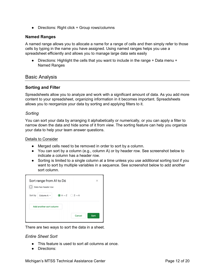● Directions: Right click + Group rows/columns

## <span id="page-11-0"></span>**Named Ranges**

A named range allows you to allocate a name for a range of cells and then simply refer to those cells by typing in the name you have assigned. Using named ranges helps you use a spreadsheet efficiently and allows you to manage large data sets easily

• Directions: Highlight the cells that you want to include in the range + Data menu + Named Ranges

## <span id="page-11-1"></span>Basic Analysis

#### <span id="page-11-2"></span>**Sorting and Filter**

Spreadsheets allow you to analyze and work with a significant amount of data. As you add more content to your spreadsheet, organizing information in it becomes important. Spreadsheets allows you to reorganize your data by sorting and applying filters to it.

#### <span id="page-11-3"></span>*Sorting*

You can sort your data by arranging it alphabetically or numerically, or you can apply a filter to narrow down the data and hide some of it from view. The sorting feature can help you organize your data to help your team answer questions.

#### <span id="page-11-4"></span>Details to Consider

- Merged cells need to be removed in order to sort by a column.
- You can sort by a column (e.g., column A) or by header row. See screenshot below to indicate a column has a header row.
- Sorting is limited to a single column at a time unless you use additional sorting tool if you want to sort by multiple variables in a sequence. See screenshot below to add another sort column.

| Sort range from A1 to D6<br>Data has header row                                         | $\times$ |
|-----------------------------------------------------------------------------------------|----------|
| $\bigcirc$ A $\rightarrow$ Z $\bigcirc$ Z $\rightarrow$ A<br>Column A $\sim$<br>Sort by |          |
| Add another sort column                                                                 |          |
| Cancel<br>Sort                                                                          |          |

There are two ways to sort the data in a sheet.

#### <span id="page-11-5"></span>*Entire Sheet Sort*

- This feature is used to sort all columns at once.
- Directions: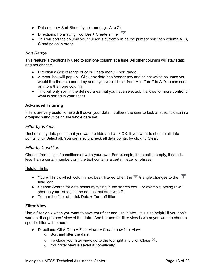- $\bullet$  Data menu + Sort Sheet by column (e.g., A to Z)
- Directions: Formatting Tool Bar + Create a filter  $\overline{Y}$
- This will sort the column your cursor is currently in as the primary sort then column A, B, C and so on in order.

## <span id="page-12-0"></span>*Sort Range*

This feature is traditionally used to sort one column at a time. All other columns will stay static and not change.

- Directions: Select range of cells + data menu + sort range.
- A menu box will pop up. Click box data has header row and select which columns you would like the data sorted by and if you would like it from A to Z or Z to A. You can sort on more than one column.
- This will only sort in the defined area that you have selected. It allows for more control of what is sorted in your sheet.

## <span id="page-12-1"></span>**Advanced Filtering**

Filters are very useful to help drill down your data. It allows the user to look at specific data in a grouping without losing the whole data set.

#### <span id="page-12-2"></span>*Filter by Values*

Uncheck any data points that you want to hide and click OK. If you want to choose all data points, click Select all. You can also uncheck all data points, by clicking Clear.

#### <span id="page-12-3"></span>*Filter by Condition*

Choose from a list of conditions or write your own. For example, if the cell is empty, if data is less than a certain number, or if the text contains a certain letter or phrase.

#### <span id="page-12-4"></span>Helpful Hints:

- You will know which column has been filtered when the  $\overline{=}$  triangle changes to the  $\overline{Y}$ filter icon.
- Search: Search for data points by typing in the search box. For example, typing P will shorten your list to just the names that start with P.
- $\bullet$  To turn the filter off, click Data  $+$  Turn off filter.

#### <span id="page-12-5"></span>**Filter View**

Use a filter view when you want to save your filter and use it later. It is also helpful if you don't want to disrupt others' view of the data. Another use for filter view is when you want to share a specific filter with others.

- Directions: Click Data + Filter views + Create new filter view.
	- o Sort and filter the data.
	- $\circ$  To close your filter view, go to the top right and click Close  $\times$ .
	- o Your filter view is saved automatically.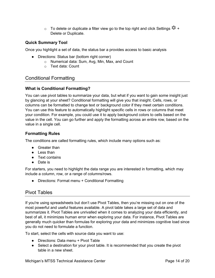$\circ$  To delete or duplicate a filter view go to the top right and click Settings  $\bullet$  + Delete or Duplicate.

## <span id="page-13-0"></span>**Quick Summary Tool**

Once you highlight a set of data, the status bar a provides access to basic analysis

- Directions: Status bar (bottom right corner)
	- o Numerical data: Sum, Avg, Min, Max, and Count
	- o Text data: Count

## <span id="page-13-1"></span>Conditional Formatting

## <span id="page-13-2"></span>**What is Conditional Formatting?**

You can use pivot tables to summarize your data, but what if you want to gain some insight just by glancing at your sheet? Conditional formatting will give you that insight. Cells, rows, or columns can be formatted to change text or background color if they meet certain conditions. You can use this feature to automatically highlight specific cells in rows or columns that meet your condition. For example, you could use it to apply background colors to cells based on the value in the cell. You can go further and apply the formatting across an entire row, based on the value in a single cell.

## <span id="page-13-3"></span>**Formatting Rules**

The conditions are called formatting rules, which include many options such as:

- Greater than
- Less than
- Text contains
- Date is

For starters, you need to highlight the data range you are interested in formatting, which may include a column, row, or a range of columns/rows.

• Directions: Format menu + Conditional Formatting

## <span id="page-13-4"></span>Pivot Tables

If you're using spreadsheets but don't use Pivot Tables, then you're missing out on one of the most powerful and useful features available. A pivot table takes a large set of data and summarizes it. Pivot Tables are unrivalled when it comes to analyzing your data efficiently, and best of all, it minimizes human error when exploring your data. For instance, Pivot Tables are generally much quicker than formulas for exploring your data and minimizes cognitive load since you do not need to formulate a function.

To start, select the cells with source data you want to use:

- Directions: Data menu + Pivot Table
- Select a destination for your pivot table. It is recommended that you create the pivot table in a new sheet.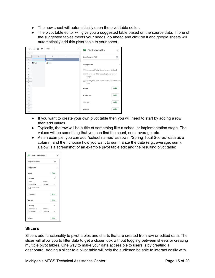- The new sheet will automatically open the pivot table editor.
- The pivot table editor will give you a suggested table based on the source data. If one of the suggested tables meets your needs, go ahead and click on it and google sheets will automatically add this pivot table to your sheet.



- If you want to create your own pivot table then you will need to start by adding a row, then add values.
- Typically, the row will be a title of something like a school or implementation stage. The values will be something that you can find the count, sum, average, etc.
- As an example, you can add "school names" as rows, "Spring Total Scores" data as a column, and then choose how you want to summarize the data (e.g., average, sum). Below is a screenshot of an example pivot table edit and the resulting pivot table:

| Fivot table editor  |         |          | $\times$ |
|---------------------|---------|----------|----------|
| 'Edited Data'IA1:E5 |         | m        |          |
| Suggested           |         |          |          |
| Rows                |         | Add      |          |
| School              |         | $\times$ |          |
| Order               | Sort by |          |          |
| Ascending           | School  |          |          |
| Show totals         |         |          |          |
| Columns             |         | Add      |          |
| Values              |         | Add      |          |
| Spring              |         | $\times$ |          |
| Summarize by        | Show as |          |          |
| AVERAGE             | Default |          |          |
| <b>Filters</b>      |         | Add      |          |

## <span id="page-14-0"></span>**Slicers**

Slicers add functionality to pivot tables and charts that are created from raw or edited data. The slicer will allow you to filter data to get a closer look without toggling between sheets or creating multiple pivot tables. One way to make your data accessible to users is by creating a dashboard. Adding a slicer to a pivot table will help the audience be able to interact easily with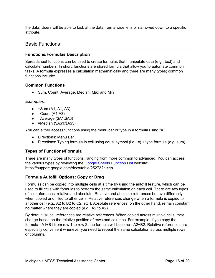the data. Users will be able to look at the data from a wide lens or narrowed down to a specific attribute.

## <span id="page-15-0"></span>Basic Functions

## <span id="page-15-1"></span>**Functions/Formulas Description**

Spreadsheet functions can be used to create formulas that manipulate data (e.g., text) and calculate numbers. In short, functions are stored formula that allow you to automate common tasks. A formula expresses a calculation mathematically and there are many types; common functions include:

## <span id="page-15-2"></span>**Common Functions**

● Sum, Count, Average, Median, Max and Min

## <span id="page-15-3"></span>*Examples:*

- $\bullet$  = Sum (A1, A1, A3)
- $\bullet$  = Count (A1:A3)
- $\bullet$  =Average (\$A1:\$A3)
- $\bullet$  =Median (\$A\$1:\$A\$3)

You can either access functions using the menu bar or type in a formula using "=".

- Directions: Menu Bar
- Directions: Typing formula in cell using equal symbol  $(i.e., =) +$  type formula (e.g. sum)

## <span id="page-15-4"></span>**Types of Functions/Formula**

There are many types of functions, ranging from more common to advanced. You can access the various types by reviewing the [Google Sheets Function List](https://support.google.com/docs/table/25273?hl=en) website: https://support.google.com/docs/table/25273?hl=en.

## <span id="page-15-5"></span>**Formula Autofill Options: Copy or Drag**

Formulas can be copied into multiple cells at a time by using the autofill feature, which can be used to fill cells with formulas to perform the same calculation on each cell. There are two types of cell references: relative and absolute. Relative and absolute references behave differently when copied and filled to other cells. Relative references change when a formula is copied to another cell (e.g., A2 to B2 to C2, etc.). Absolute references, on the other hand, remain constant no matter where they are copied (e.g., A2 to A2).

By default, all cell references are relative references. When copied across multiple cells, they change based on the relative position of rows and columns. For example, if you copy the formula =A1+B1 from row 1 to row 2, the formula will become =A2+B2. Relative references are especially convenient whenever you need to repeat the same calculation across multiple rows or columns.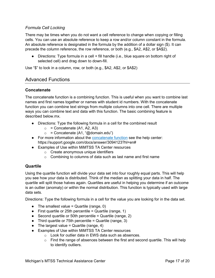## <span id="page-16-0"></span>*Formula Cell Locking*

There may be times when you do not want a cell reference to change when copying or filling cells. You can use an absolute reference to keep a row and/or column constant in the formula. An absolute reference is designated in the formula by the addition of a dollar sign (\$). It can precede the column reference, the row reference, or both (e.g., \$A2, A\$2, or \$A\$2).

• Directions: Type formula in a cell + fill handle (i.e., blue square on bottom right of selected cell) and drag down to down-fill.

Use "\$" to lock in a column, row, or both (e.g., \$A2, A\$2, or \$A\$2)

## <span id="page-16-1"></span>Advanced Functions

## <span id="page-16-2"></span>**Concatenate**

The concatenate function is a combining function. This is useful when you want to combine last names and first names together or names with student id numbers. With the concatenate function you can combine text strings from multiple columns into one cell. There are multiple ways you can combine text and data with this function. The basic combining feature is described below.mx.

- Directions: Type the following formula in a cell for the combined result
	- $\circ$  = Concatenate (A1, A2, A3)
	- $\circ$  = Concatenate (A1, "@domain.edu")
- For more information about the [concatenate function](https://support.google.com/docs/answer/3094123?hl=en) see the help center: https://support.google.com/docs/answer/3094123?hl=en#
- Examples of Use within MiMTSS TA Center resources
	- o Create anonymous unique identifiers
	- o Combining to columns of data such as last name and first name

## <span id="page-16-3"></span>**Quartile**

Using the quartile function will divide your data set into four roughly equal parts. This will help you see how your data is distributed. Think of the median as splitting your data in half. The quartile will split those halves again. Quartiles are useful in helping you determine if an outcome is an outlier (anomaly) or within the normal distribution. This function is typically used with large data sets.

Directions: Type the following formula in a cell for the value you are looking for in the data set.

- $\bullet$  The smallest value = Quartile (range, 0)
- $\bullet$  First quartile or 25th percentile = Quartile (range, 1)
- $\bullet$  Second quartile or 50th percentile = Quartile (range, 2)
- Third quartile or 75th percentile = Quartile (range, 3)
- $\bullet$  The largest value = Quartile (range, 4)
- Examples of Use within MiMTSS TA Center resources
	- o Look for outlier data in EWS data such as absences.
		- $\circ$  Find the range of absences between the first and second quartile. This will help to identify outliers.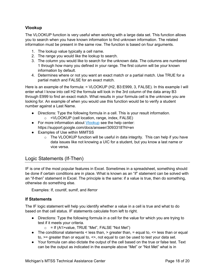## <span id="page-17-0"></span>**Vlookup**

The VLOOKUP function is very useful when working with a large data set. This function allows you to search when you have known information to find unknown information. The related information must be present in the same row. The function is based on four arguments.

- 1. The lookup value typically a cell name.
- 2. The range you would like the lookup to search.
- 3. The column you would like to search for the unknown data. The columns are numbered 1 through how many you defined in your range. The first column will be your known information by default.
- 4. Determines where or not you want an exact match or a partial match. Use TRUE for a partial match and FALSE for an exact match.

Here is an example of the formula: = VLOOKUP (H2, B3:E999, 3, FALSE). In this example I will enter what I know into cell H2 the formula will look in the 3rd column of the data array B3 through E999 to find an exact match. What results in your formula cell is the unknown you are looking for. An example of when you would use this function would be to verify a student number against a Last Name.

- Directions: Type the following formula in a cell. This is your result information.
	- o =VLOOKUP (cell location, range, index, FALSE)
- For more information about [Vlookup](https://support.google.com/docs/answer/3093318?hl=en) see the help center: https://support.google.com/docs/answer/3093318?hl=en
- Examples of Use within MiMTSS
	- $\circ$  The VLOOKUP function will be useful in data integrity. This can help if you have data issues like not knowing a UIC for a student, but you know a last name or vice versa.

## <span id="page-17-1"></span>Logic Statements (If-Then)

IF is one of the most popular features in Excel. Sometimes in a spreadsheet, something should be done if certain conditions are in place. What is known as an "if" statement can be solved with an "if-then" statement in Excel. The principle is the same: if a value is true, then do something, otherwise do something else.

Examples: If, countif, sumif, and iferror

#### <span id="page-17-2"></span>**If Statements**

The IF logic statement will help you identify whether a value in a cell is true and what to do based on that cell status. IF statements calculate from left to right.

- Directions: Type the following formula in a cell for the value for which you are trying to test if it meets your criteria.
	- $\circ$  = If (A1>value, TRUE "Met", FALSE "Not Met")
- $\bullet$  The conditional statements < less than, > greater than, = equal to,  $\leq$  less than or equal to,  $>=$  greater than or equal to,  $\le$ , not equal to can be used to test your data set.
- Your formula can also dictate the output of the cell based on the true or false test. Text can be the output as indicated in the example above "Met" or "Not Met" what is in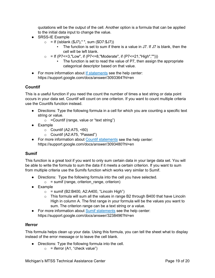quotations will be the output of the cell. Another option is a formula that can be applied to the initial data input to change the value.

- SRSS-IE Example
	- $\circ$  = If (isblank (\$J7)," ", sum (\$D7:\$J7))
		- The function is set to sum if there is a value in J7. If J7 is blank, then the cell will be left blank.
	- $\circ$  = If (P7<=3,"Low", if (P7<=8,"Moderate", if (P7<=21,"High","")))
		- The function is set to read the value of P7, then assign the appropriate categorical descriptor based on that value.
- For more information about [If statements](https://support.google.com/docs/answer/3093364?hl=en) see the help center: https://support.google.com/docs/answer/3093364?hl=en

## <span id="page-18-0"></span>**Countif**

This is a useful function if you need the count the number of times a text string or data point occurs in your data set. Countif will count on one criterion. If you want to count multiple criteria use the Countifs function instead.

- Directions: Type the following formula in a cell for which you are counting a specific text string or value.
	- $\circ$  = Countif (range, value or "text string")
- Example
	- $\circ$  Countif (A2:A75, <60)
	- o Countif (A2:A75, "Passed")
- For more information about [Countif statements](https://support.google.com/docs/answer/3093480?hl=en) see the help center: https://support.google.com/docs/answer/3093480?hl=en

## <span id="page-18-1"></span>**Sumif**

This function is a great tool if you want to only sum certain data in your large data set. You will be able to write the formula to sum the data if it meets a certain criterion. If you want to sum from multiple criteria use the Sumifs function which works very similar to Sumif.

- Directions: Type the following formula into the cell you have selected.
	- $\circ$  = sumif (range, criterion range, criterion)
- Example
	- $\circ$  = sumif (B2:B400, A2:A400, "Lincoln High")
	- $\circ$  This formula will sum all the values in range B2 through B400 that have Lincoln High in column A. The first range in your formula will be the values you want to sum. The criterion range can be a text string or a value.
- For more information about [Sumif statements](https://support.google.com/docs/answer/3238496?hl=en) see the help center: https://support.google.com/docs/answer/3238496?hl=en

## <span id="page-18-2"></span>**Iferror**

This formula helps clean up your data. Using this formula, you can tell the sheet what to display instead of the error message or to leave the cell blank.

- Directions: Type the following formula into the cell.
	- $\circ$  = iferror (A1, "check value")